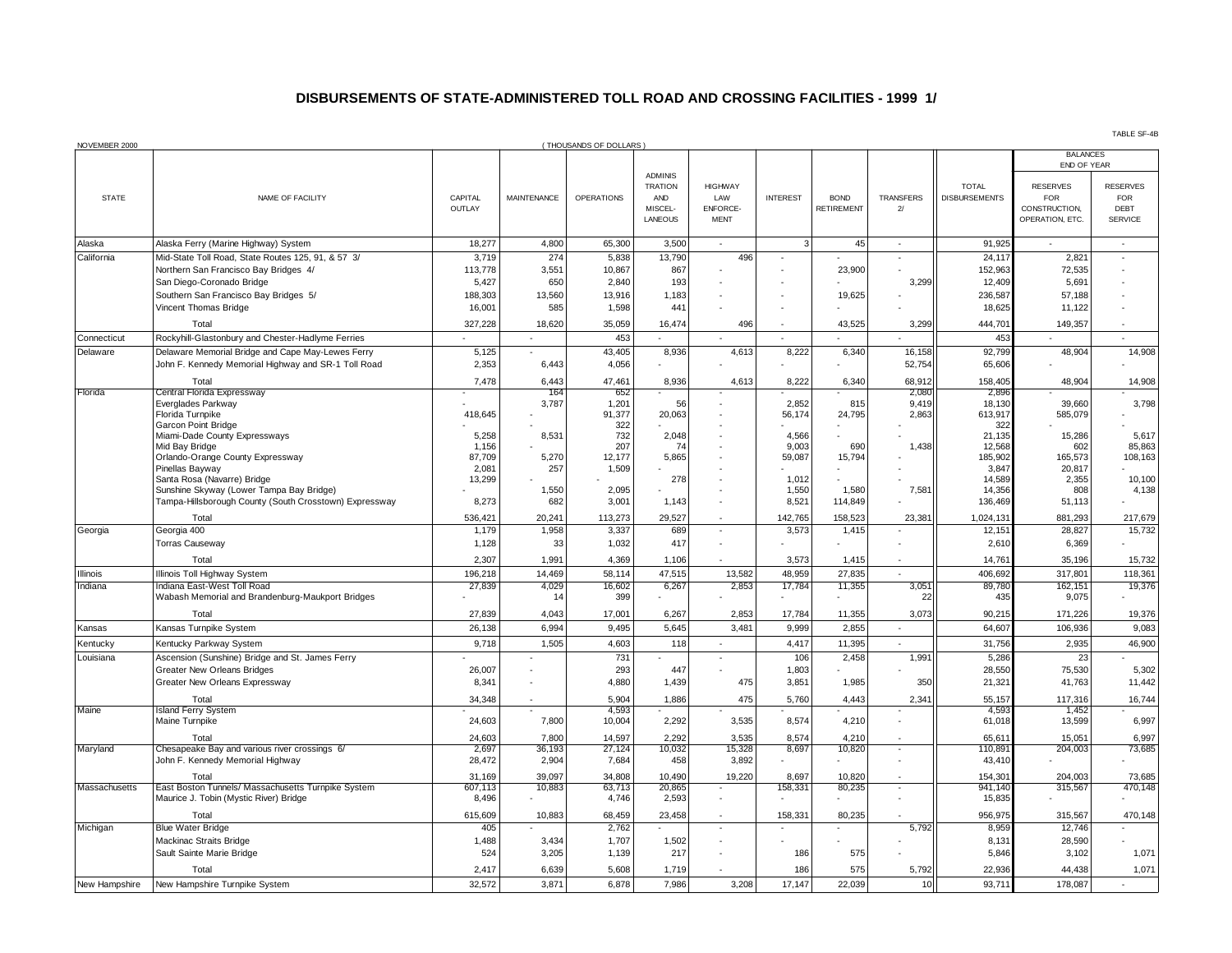## **DISBURSEMENTS OF STATE-ADMINISTERED TOLL ROAD AND CROSSING FACILITIES - 1999 1/**

| NOVEMBER 2000 |                                                                                   |                   |                    | (THOUSANDS OF DOLLARS) |                                                               |                                                         |                 |                           |                          |                                      |                                                                   |                                                         |
|---------------|-----------------------------------------------------------------------------------|-------------------|--------------------|------------------------|---------------------------------------------------------------|---------------------------------------------------------|-----------------|---------------------------|--------------------------|--------------------------------------|-------------------------------------------------------------------|---------------------------------------------------------|
|               |                                                                                   |                   |                    |                        |                                                               |                                                         |                 |                           |                          |                                      | <b>BALANCES</b><br>END OF YEAR                                    |                                                         |
| <b>STATE</b>  | NAME OF FACILITY                                                                  | CAPITAL<br>OUTLAY | <b>MAINTENANCE</b> | <b>OPERATIONS</b>      | <b>ADMINIS</b><br><b>TRATION</b><br>AND<br>MISCEL-<br>LANEOUS | <b>HIGHWAY</b><br>LAW<br><b>ENFORCE-</b><br><b>MENT</b> | <b>INTEREST</b> | <b>BOND</b><br>RETIREMENT | <b>TRANSFERS</b><br>$2/$ | <b>TOTAL</b><br><b>DISBURSEMENTS</b> | <b>RESERVES</b><br><b>FOR</b><br>CONSTRUCTION,<br>OPERATION, ETC. | <b>RESERVES</b><br><b>FOR</b><br>DEBT<br><b>SERVICE</b> |
| Alaska        | Alaska Ferry (Marine Highway) System                                              | 18,277            | 4,800              | 65,300                 | 3,500                                                         | $\blacksquare$                                          | 3               | 45                        | $\mathbf{r}$             | 91,925                               | $\sim$                                                            | $\sim$                                                  |
| California    | Mid-State Toll Road, State Routes 125, 91, & 57 3/                                | 3,719             | 274                | 5,838                  | 13,790                                                        | 496                                                     |                 |                           |                          | 24,117                               | 2,821                                                             | $\overline{\phantom{a}}$                                |
|               | Northern San Francisco Bay Bridges 4/                                             | 113,778           | 3.551              | 10,867                 | 867                                                           |                                                         |                 | 23.900                    |                          | 152,963                              | 72,535                                                            |                                                         |
|               | San Diego-Coronado Bridge<br>Southern San Francisco Bay Bridges 5/                | 5,427<br>188,303  | 650<br>13.560      | 2,840<br>13.916        | 193<br>1,183                                                  |                                                         |                 | 19.625                    | 3,299                    | 12,409<br>236.587                    | 5,691<br>57.188                                                   |                                                         |
|               | Vincent Thomas Bridge                                                             | 16,001            | 585                | 1,598                  | 441                                                           |                                                         |                 |                           |                          | 18,625                               | 11,122                                                            |                                                         |
|               | Total                                                                             | 327,228           | 18,620             | 35,059                 | 16,474                                                        | 496                                                     |                 | 43,525                    | 3,299                    | 444,701                              | 149,357                                                           |                                                         |
| Connecticut   | Rockyhill-Glastonbury and Chester-Hadlyme Ferries                                 |                   |                    | 453                    |                                                               |                                                         |                 |                           |                          | 453                                  |                                                                   |                                                         |
| Delaware      | Delaware Memorial Bridge and Cape May-Lewes Ferry                                 | 5,125             |                    | 43,405                 | 8,936                                                         | 4,613                                                   | 8,222           | 6,340                     | 16,158                   | 92,799                               | 48,904                                                            | 14,908                                                  |
|               | John F. Kennedy Memorial Highway and SR-1 Toll Road                               | 2,353             | 6,443              | 4,056                  |                                                               |                                                         |                 |                           | 52,754                   | 65,606                               |                                                                   |                                                         |
|               | Total                                                                             | 7,478             | 6,443              | 47,461                 | 8,936                                                         | 4,613                                                   | 8,222           | 6,340                     | 68,912                   | 158,405                              | 48,904                                                            | 14,908                                                  |
| Florida       | Central Florida Expressway<br>Everglades Parkway                                  |                   | 164<br>3,787       | 652<br>1,201           | 56                                                            |                                                         | 2.852           | 815                       | 2,080<br>9,419           | 2,896<br>18,130                      | 39,660                                                            | 3,798                                                   |
|               | Florida Turnpike                                                                  | 418,645           |                    | 91,377                 | 20,063                                                        |                                                         | 56,174          | 24,795                    | 2,863                    | 613,917                              | 585,079                                                           |                                                         |
|               | Garcon Point Bridge<br>Miami-Dade County Expressways                              | 5,258             | 8,531              | 322<br>732             | 2,048                                                         |                                                         | 4,566           |                           |                          | 322<br>21,135                        | 15,286                                                            | 5,617                                                   |
|               | Mid Bay Bridge                                                                    | 1,156             |                    | 207                    | 74                                                            |                                                         | 9,003           | 690                       | 1,438                    | 12,568                               | 602                                                               | 85,863                                                  |
|               | Orlando-Orange County Expressway                                                  | 87,709            | 5,270              | 12,177                 | 5,865                                                         |                                                         | 59,087          | 15,794                    |                          | 185,902                              | 165,573                                                           | 108, 163                                                |
|               | Pinellas Bayway<br>Santa Rosa (Navarre) Bridge                                    | 2,081<br>13,299   | 257                | 1,509                  | 278                                                           |                                                         | 1,012           |                           |                          | 3,847<br>14,589                      | 20,817<br>2,355                                                   | 10,100                                                  |
|               | Sunshine Skyway (Lower Tampa Bay Bridge)                                          |                   | 1,550              | 2,095                  |                                                               |                                                         | 1,550           | 1,580                     | 7,581                    | 14,356                               | 808                                                               | 4,138                                                   |
|               | Tampa-Hillsborough County (South Crosstown) Expressway                            | 8,273             | 682                | 3,001                  | 1,143                                                         |                                                         | 8,521           | 114,849                   |                          | 136,469                              | 51,113                                                            |                                                         |
|               | Total                                                                             | 536,421           | 20,241             | 113,273                | 29,527                                                        |                                                         | 142,765         | 158,523                   | 23,381                   | 1,024,13'                            | 881,293                                                           | 217,679                                                 |
| Georgia       | Georgia 400<br><b>Torras Causeway</b>                                             | 1,179<br>1,128    | 1,958<br>33        | 3,337<br>1,032         | 689<br>417                                                    | $\overline{\phantom{a}}$                                | 3,573           | 1,415                     |                          | 12,151<br>2,610                      | 28,827<br>6,369                                                   | 15,732                                                  |
|               | Total                                                                             | 2,307             | 1,991              | 4,369                  | 1,106                                                         |                                                         | 3,573           | 1,415                     |                          | 14,761                               | 35,196                                                            | 15,732                                                  |
| Illinois      | Illinois Toll Highway System                                                      | 196,218           | 14,469             | 58,114                 | 47,515                                                        | 13,582                                                  | 48,959          | 27,835                    | $\blacksquare$           | 406,692                              | 317,801                                                           | 118,361                                                 |
| Indiana       | Indiana East-West Toll Road                                                       | 27,839            | 4,029              | 16,602                 | 6,267                                                         | 2.853                                                   | 17,784          | 11,355                    | 3,051                    | 89.780                               | 162.151                                                           | 19,376                                                  |
|               | Wabash Memorial and Brandenburg-Maukport Bridges                                  |                   | 14                 | 399                    |                                                               |                                                         |                 |                           | 22                       | 435                                  | 9,075                                                             |                                                         |
|               | Total                                                                             | 27,839            | 4,043              | 17,001                 | 6,267                                                         | 2,853                                                   | 17,784          | 11,355                    | 3,073                    | 90,21                                | 171,226                                                           | 19,376                                                  |
| Kansas        | Kansas Turnpike System                                                            | 26,138            | 6,994              | 9,495                  | 5,645                                                         | 3,481                                                   | 9,999           | 2,855                     | ÷.                       | 64,607                               | 106,936                                                           | 9,083                                                   |
| Kentucky      | Kentucky Parkway System                                                           | 9,718             | 1,505              | 4,603                  | 118                                                           |                                                         | 4,417           | 11,395                    |                          | 31,756                               | 2,935                                                             | 46,900                                                  |
| Louisiana     | Ascension (Sunshine) Bridge and St. James Ferry                                   |                   |                    | 731                    |                                                               | $\sim$                                                  | 106             | 2,458                     | 1,991                    | 5,286                                | 23                                                                |                                                         |
|               | <b>Greater New Orleans Bridges</b><br>Greater New Orleans Expressway              | 26,007<br>8,341   |                    | 293<br>4,880           | 447<br>1,439                                                  | 475                                                     | 1,803<br>3,851  | 1,985                     | 350                      | 28,550<br>21,321                     | 75,530<br>41,763                                                  | 5,302<br>11,442                                         |
|               | Total                                                                             | 34,348            |                    | 5,904                  | 1,886                                                         | 475                                                     | 5,760           | 4,443                     | 2,341                    | 55,157                               | 117,316                                                           | 16,744                                                  |
| Maine         | <b>Island Ferry System</b>                                                        |                   |                    | 4,593                  |                                                               |                                                         |                 |                           |                          | 4,593                                | 1,452                                                             |                                                         |
| Maryland      | Maine Turnpike                                                                    | 24,603            | 7,800              | 10,004                 | 2,292                                                         | 3,535                                                   | 8,574           | 4,210                     |                          | 61,018                               | 13,599                                                            | 6,997                                                   |
|               | Total                                                                             | 24,603            | 7,800              | 14,597                 | 2,292                                                         | 3,535                                                   | 8,574           | 4,210                     |                          | 65,61'                               | 15,051                                                            | 6,997                                                   |
|               | Chesapeake Bay and various river crossings 6/<br>John F. Kennedy Memorial Highway | 2,697<br>28,472   | 36,193<br>2,904    | 27,124<br>7,684        | 10,032<br>458                                                 | 15,328<br>3,892                                         | 8,697           | 10,820                    |                          | 110,89<br>43,410                     | 204,003                                                           | 73,685                                                  |
|               | Total                                                                             | 31,169            | 39,097             | 34,808                 | 10,490                                                        | 19,220                                                  | 8,697           | 10,820                    | $\overline{\phantom{a}}$ | 154,30'                              | 204,003                                                           | 73,685                                                  |
| Massachusetts | East Boston Tunnels/ Massachusetts Turnpike System                                | 607,113           | 10,883             | 63,713                 | 20,865                                                        | $\sim$                                                  | 158,331         | 80.235                    | ä,                       | 941,140                              | 315,567                                                           | 470,148                                                 |
|               | Maurice J. Tobin (Mystic River) Bridge                                            | 8,496             |                    | 4,746                  | 2,593                                                         |                                                         |                 |                           |                          | 15,835                               |                                                                   |                                                         |
|               | Total                                                                             | 615,609           | 10,883             | 68,459                 | 23,458                                                        |                                                         | 158,331         | 80,235                    |                          | 956,97                               | 315,567                                                           | 470,148                                                 |
| Michigan      | <b>Blue Water Bridge</b><br>Mackinac Straits Bridge                               | 405<br>1,488      | 3,434              | 2,762<br>1,707         | 1,502                                                         | $\sim$                                                  |                 |                           | 5,792                    | 8,959<br>8,131                       | 12,746<br>28,590                                                  |                                                         |
|               | Sault Sainte Marie Bridge                                                         | 524               | 3,205              | 1,139                  | 217                                                           |                                                         | 186             | 575                       |                          | 5,846                                | 3,102                                                             | 1,071                                                   |
|               | Total                                                                             | 2,417             | 6,639              | 5,608                  | 1,719                                                         |                                                         | 186             | 575                       | 5,792                    | 22,936                               | 44,438                                                            | 1,071                                                   |
| New Hampshire | New Hampshire Turnpike System                                                     | 32,572            | 3,871              | 6,878                  | 7,986                                                         | 3,208                                                   | 17.147          | 22,039                    | 10 <sup>1</sup>          | 93,711                               | 178,087                                                           |                                                         |
|               |                                                                                   |                   |                    |                        |                                                               |                                                         |                 |                           |                          |                                      |                                                                   |                                                         |

TABLE SF-4B